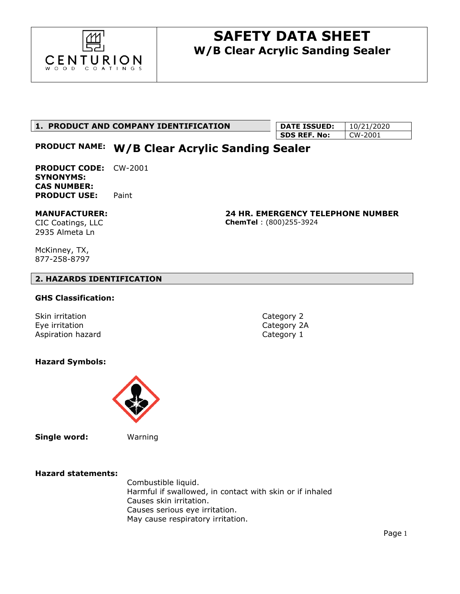

## **1. PRODUCT AND COMPANY IDENTIFICATION**

| <b>DATE ISSUED:</b> | 10/21/2020 |
|---------------------|------------|
| SDS REF. No:        | LCW-2001   |

# **PRODUCT NAME: W/B Clear Acrylic Sanding Sealer**

**PRODUCT CODE:** CW-2001 **SYNONYMS: CAS NUMBER: PRODUCT USE:** Paint

## **MANUFACTURER:**

CIC Coatings, LLC 2935 Almeta Ln

**24 HR. EMERGENCY TELEPHONE NUMBER ChemTel** : (800)255-3924

McKinney, TX, 877-258-8797

### **2. HAZARDS IDENTIFICATION**

### **GHS Classification:**

Skin irritation **Category 2** Eye irritation **Category 2A** Aspiration hazard **Category 1** 

## **Hazard Symbols:**



**Single word:** Warning

**Hazard statements:**

Combustible liquid. Harmful if swallowed, in contact with skin or if inhaled Causes skin irritation. Causes serious eye irritation. May cause respiratory irritation.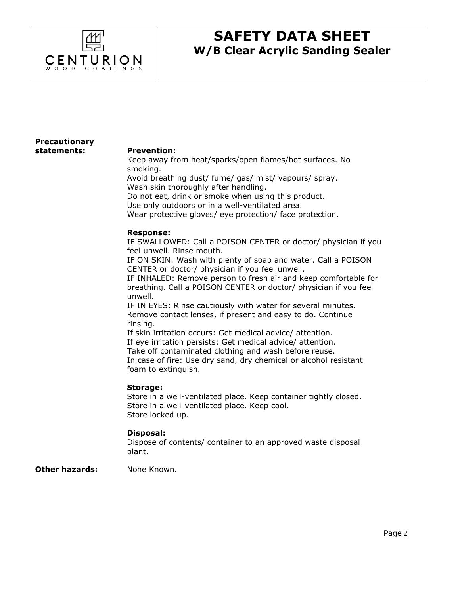

### **Precautionary statements:**

#### **Prevention:**

Keep away from heat/sparks/open flames/hot surfaces. No smoking.

Avoid breathing dust/ fume/ gas/ mist/ vapours/ spray. Wash skin thoroughly after handling.

Do not eat, drink or smoke when using this product.

Use only outdoors or in a well-ventilated area.

Wear protective gloves/ eye protection/ face protection.

#### **Response:**

IF SWALLOWED: Call a POISON CENTER or doctor/ physician if you feel unwell. Rinse mouth.

IF ON SKIN: Wash with plenty of soap and water. Call a POISON CENTER or doctor/ physician if you feel unwell.

IF INHALED: Remove person to fresh air and keep comfortable for breathing. Call a POISON CENTER or doctor/ physician if you feel unwell.

IF IN EYES: Rinse cautiously with water for several minutes. Remove contact lenses, if present and easy to do. Continue rinsing.

If skin irritation occurs: Get medical advice/ attention. If eye irritation persists: Get medical advice/ attention. Take off contaminated clothing and wash before reuse. In case of fire: Use dry sand, dry chemical or alcohol resistant foam to extinguish.

#### **Storage:**

Store in a well-ventilated place. Keep container tightly closed. Store in a well-ventilated place. Keep cool. Store locked up.

#### **Disposal:**

Dispose of contents/ container to an approved waste disposal plant.

**Other hazards:** None Known.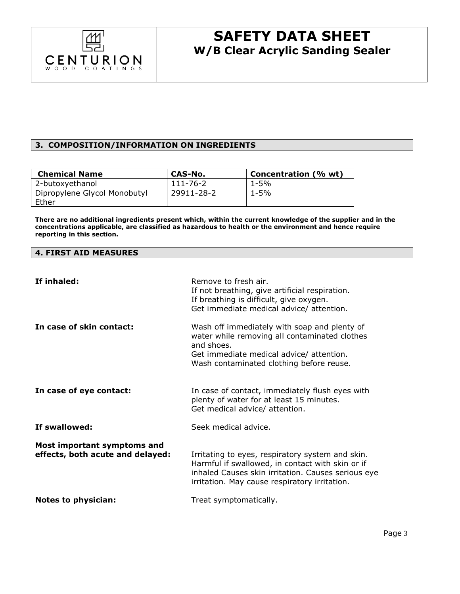

### **3. COMPOSITION/INFORMATION ON INGREDIENTS**

| <b>Chemical Name</b>         | CAS-No.    | Concentration (% wt) |
|------------------------------|------------|----------------------|
| 2-butoxyethanol              | 111-76-2   | $1 - 5%$             |
| Dipropylene Glycol Monobutyl | 29911-28-2 | 1-5%                 |
| Ether                        |            |                      |

**There are no additional ingredients present which, within the current knowledge of the supplier and in the concentrations applicable, are classified as hazardous to health or the environment and hence require reporting in this section.**

#### **4. FIRST AID MEASURES**

| If inhaled:                                                     | Remove to fresh air.<br>If not breathing, give artificial respiration.<br>If breathing is difficult, give oxygen.<br>Get immediate medical advice/ attention.                                               |
|-----------------------------------------------------------------|-------------------------------------------------------------------------------------------------------------------------------------------------------------------------------------------------------------|
| In case of skin contact:                                        | Wash off immediately with soap and plenty of<br>water while removing all contaminated clothes<br>and shoes.<br>Get immediate medical advice/ attention.<br>Wash contaminated clothing before reuse.         |
| In case of eye contact:                                         | In case of contact, immediately flush eyes with<br>plenty of water for at least 15 minutes.<br>Get medical advice/ attention.                                                                               |
| If swallowed:                                                   | Seek medical advice.                                                                                                                                                                                        |
| Most important symptoms and<br>effects, both acute and delayed: | Irritating to eyes, respiratory system and skin.<br>Harmful if swallowed, in contact with skin or if<br>inhaled Causes skin irritation. Causes serious eye<br>irritation. May cause respiratory irritation. |
| <b>Notes to physician:</b>                                      | Treat symptomatically.                                                                                                                                                                                      |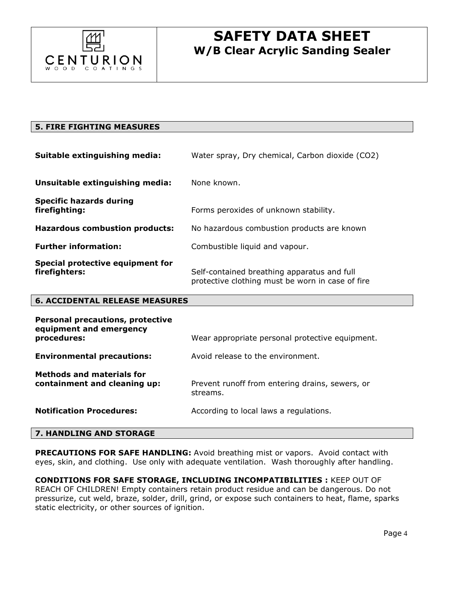

| <b>5. FIRE FIGHTING MEASURES</b>                                   |                                                                                                 |
|--------------------------------------------------------------------|-------------------------------------------------------------------------------------------------|
| Suitable extinguishing media:                                      | Water spray, Dry chemical, Carbon dioxide (CO2)                                                 |
| Unsuitable extinguishing media:                                    | None known.                                                                                     |
| <b>Specific hazards during</b><br>firefighting:                    | Forms peroxides of unknown stability.                                                           |
| <b>Hazardous combustion products:</b>                              | No hazardous combustion products are known                                                      |
| <b>Further information:</b>                                        | Combustible liquid and vapour.                                                                  |
| Special protective equipment for<br>firefighters:                  | Self-contained breathing apparatus and full<br>protective clothing must be worn in case of fire |
| <b>6. ACCIDENTAL RELEASE MEASURES</b>                              |                                                                                                 |
| <b>Personal precautions, protective</b><br>equipment and emergency |                                                                                                 |

| Equipment and Eniergency<br>procedures:                          | Wear appropriate personal protective equipment.             |
|------------------------------------------------------------------|-------------------------------------------------------------|
| <b>Environmental precautions:</b>                                | Avoid release to the environment.                           |
| <b>Methods and materials for</b><br>containment and cleaning up: | Prevent runoff from entering drains, sewers, or<br>streams. |
| <b>Notification Procedures:</b>                                  | According to local laws a regulations.                      |
|                                                                  |                                                             |

### **7. HANDLING AND STORAGE**

**PRECAUTIONS FOR SAFE HANDLING:** Avoid breathing mist or vapors. Avoid contact with eyes, skin, and clothing. Use only with adequate ventilation. Wash thoroughly after handling.

**CONDITIONS FOR SAFE STORAGE, INCLUDING INCOMPATIBILITIES :** KEEP OUT OF REACH OF CHILDREN! Empty containers retain product residue and can be dangerous. Do not pressurize, cut weld, braze, solder, drill, grind, or expose such containers to heat, flame, sparks static electricity, or other sources of ignition.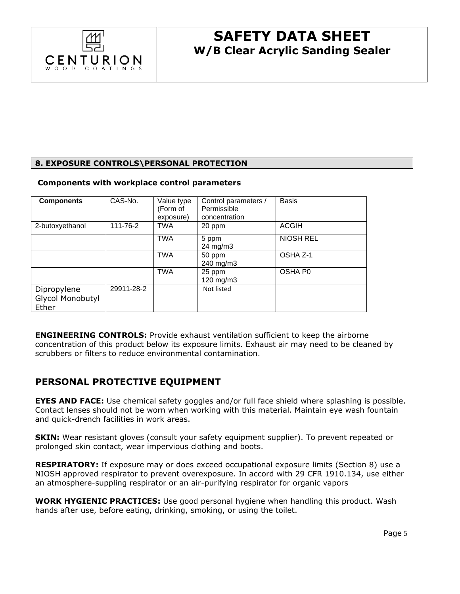

## **8. EXPOSURE CONTROLS\PERSONAL PROTECTION**

#### **Components with workplace control parameters**

| <b>Components</b>                        | CAS-No.    | Value type<br>(Form of<br>exposure) | Control parameters /<br>Permissible<br>concentration | <b>Basis</b>     |
|------------------------------------------|------------|-------------------------------------|------------------------------------------------------|------------------|
| 2-butoxyethanol                          | 111-76-2   | <b>TWA</b>                          | 20 ppm                                               | <b>ACGIH</b>     |
|                                          |            | <b>TWA</b>                          | 5 ppm<br>$24 \text{ mg/m}$ 3                         | <b>NIOSH REL</b> |
|                                          |            | TWA                                 | 50 ppm<br>240 mg/m3                                  | OSHA Z-1         |
|                                          |            | <b>TWA</b>                          | 25 ppm<br>$120 \text{ mg/m}$                         | OSHA P0          |
| Dipropylene<br>Glycol Monobutyl<br>Ether | 29911-28-2 |                                     | Not listed                                           |                  |

**ENGINEERING CONTROLS:** Provide exhaust ventilation sufficient to keep the airborne concentration of this product below its exposure limits. Exhaust air may need to be cleaned by scrubbers or filters to reduce environmental contamination.

# **PERSONAL PROTECTIVE EQUIPMENT**

**EYES AND FACE:** Use chemical safety goggles and/or full face shield where splashing is possible. Contact lenses should not be worn when working with this material. Maintain eye wash fountain and quick-drench facilities in work areas.

**SKIN:** Wear resistant gloves (consult your safety equipment supplier). To prevent repeated or prolonged skin contact, wear impervious clothing and boots.

**RESPIRATORY:** If exposure may or does exceed occupational exposure limits (Section 8) use a NIOSH approved respirator to prevent overexposure. In accord with 29 CFR 1910.134, use either an atmosphere-suppling respirator or an air-purifying respirator for organic vapors

**WORK HYGIENIC PRACTICES:** Use good personal hygiene when handling this product. Wash hands after use, before eating, drinking, smoking, or using the toilet.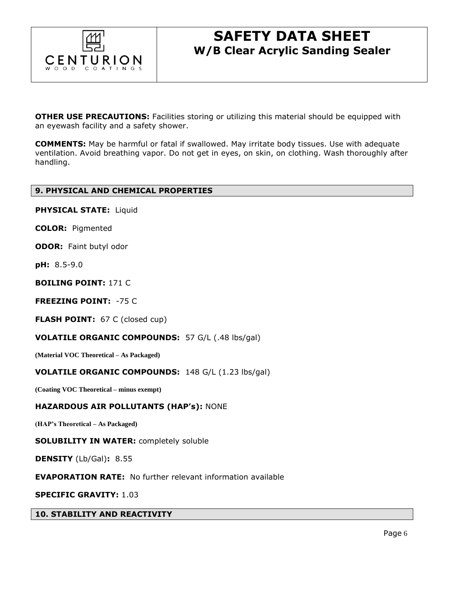

**OTHER USE PRECAUTIONS:** Facilities storing or utilizing this material should be equipped with an eyewash facility and a safety shower.

**COMMENTS:** May be harmful or fatal if swallowed. May irritate body tissues. Use with adequate ventilation. Avoid breathing vapor. Do not get in eyes, on skin, on clothing. Wash thoroughly after handling.

### **9. PHYSICAL AND CHEMICAL PROPERTIES**

**PHYSICAL STATE:** Liquid

**COLOR:** Pigmented

**ODOR:** Faint butyl odor

**pH:** 8.5-9.0

**BOILING POINT:** 171 C

**FREEZING POINT:** -75 C

**FLASH POINT:** 67 C (closed cup)

**VOLATILE ORGANIC COMPOUNDS:** 57 G/L (.48 lbs/gal)

**(Material VOC Theoretical – As Packaged)**

#### **VOLATILE ORGANIC COMPOUNDS:** 148 G/L (1.23 lbs/gal)

**(Coating VOC Theoretical – minus exempt)**

#### **HAZARDOUS AIR POLLUTANTS (HAP's):** NONE

**(HAP's Theoretical – As Packaged)**

#### **SOLUBILITY IN WATER:** completely soluble

**DENSITY** (Lb/Gal)**:** 8.55

**EVAPORATION RATE:** No further relevant information available

**SPECIFIC GRAVITY:** 1.03

**10. STABILITY AND REACTIVITY**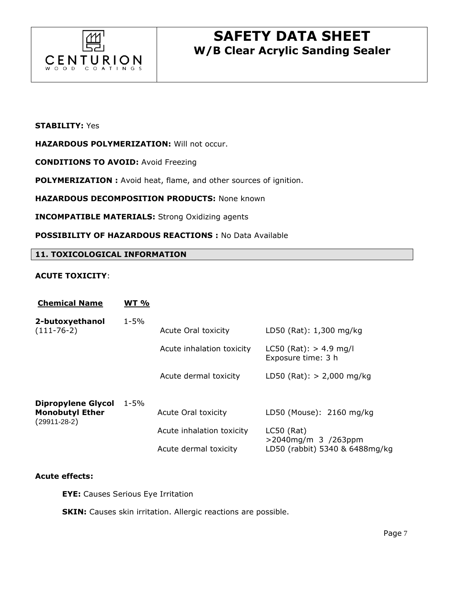

### **STABILITY:** Yes

**HAZARDOUS POLYMERIZATION:** Will not occur.

**CONDITIONS TO AVOID:** Avoid Freezing

**POLYMERIZATION :** Avoid heat, flame, and other sources of ignition.

**HAZARDOUS DECOMPOSITION PRODUCTS:** None known

**INCOMPATIBLE MATERIALS:** Strong Oxidizing agents

**POSSIBILITY OF HAZARDOUS REACTIONS :** No Data Available

#### **11. TOXICOLOGICAL INFORMATION**

#### **ACUTE TOXICITY**:

| <b>Chemical Name</b>                                                      | <b>WT %</b> |                            |                                                  |
|---------------------------------------------------------------------------|-------------|----------------------------|--------------------------------------------------|
| 2-butoxyethanol<br>$(111-76-2)$                                           | $1 - 5%$    | <b>Acute Oral toxicity</b> | LD50 (Rat): 1,300 mg/kg                          |
|                                                                           |             | Acute inhalation toxicity  | $LCS0$ (Rat): $> 4.9$ mg/l<br>Exposure time: 3 h |
|                                                                           |             | Acute dermal toxicity      | LD50 (Rat): $> 2,000$ mg/kg                      |
| <b>Dipropylene Glycol</b><br><b>Monobutyl Ether</b><br>$(29911 - 28 - 2)$ | $1 - 5%$    | Acute Oral toxicity        | LD50 (Mouse): 2160 mg/kg                         |
|                                                                           |             | Acute inhalation toxicity  | $LC50$ (Rat)<br>>2040mg/m 3 /263ppm              |
|                                                                           |             | Acute dermal toxicity      | LD50 (rabbit) 5340 & 6488mg/kg                   |

#### **Acute effects:**

**EYE:** Causes Serious Eye Irritation

**SKIN:** Causes skin irritation. Allergic reactions are possible.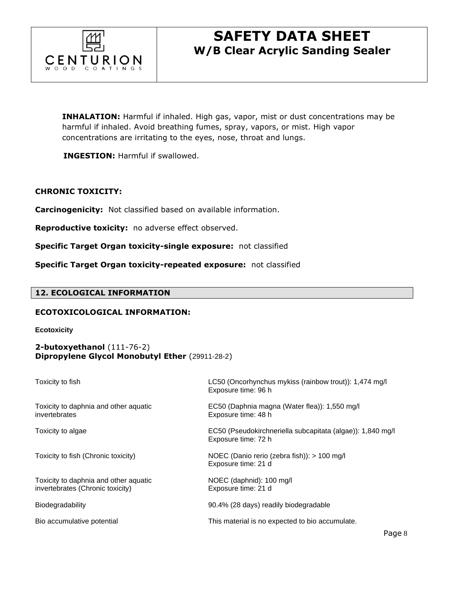

**INHALATION:** Harmful if inhaled. High gas, vapor, mist or dust concentrations may be harmful if inhaled. Avoid breathing fumes, spray, vapors, or mist. High vapor concentrations are irritating to the eyes, nose, throat and lungs.

 **INGESTION:** Harmful if swallowed.

### **CHRONIC TOXICITY:**

**Carcinogenicity:** Not classified based on available information.

**Reproductive toxicity:** no adverse effect observed.

**Specific Target Organ toxicity-single exposure:** not classified

**Specific Target Organ toxicity-repeated exposure:** not classified

#### **12. ECOLOGICAL INFORMATION**

#### **ECOTOXICOLOGICAL INFORMATION:**

**Ecotoxicity** 

### **2-butoxyethanol** (111-76-2) **Dipropylene Glycol Monobutyl Ether** (29911-28-2)

| Toxicity to fish                                                          | LC50 (Oncorhynchus mykiss (rainbow trout)): 1,474 mg/l<br>Exposure time: 96 h     |
|---------------------------------------------------------------------------|-----------------------------------------------------------------------------------|
| Toxicity to daphnia and other aquatic<br>invertebrates                    | EC50 (Daphnia magna (Water flea)): 1,550 mg/l<br>Exposure time: 48 h              |
| Toxicity to algae                                                         | EC50 (Pseudokirchneriella subcapitata (algae)): 1,840 mg/l<br>Exposure time: 72 h |
| Toxicity to fish (Chronic toxicity)                                       | NOEC (Danio rerio (zebra fish)): > 100 mg/l<br>Exposure time: 21 d                |
| Toxicity to daphnia and other aquatic<br>invertebrates (Chronic toxicity) | NOEC (daphnid): 100 mg/l<br>Exposure time: 21 d                                   |
| Biodegradability                                                          | 90.4% (28 days) readily biodegradable                                             |
| Bio accumulative potential                                                | This material is no expected to bio accumulate.                                   |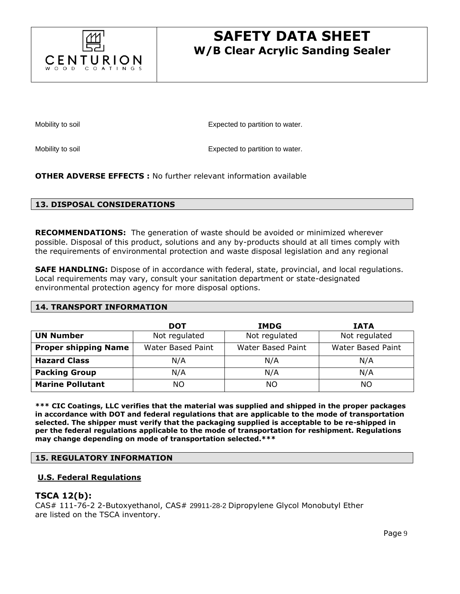

Mobility to soil **Expected** to partition to water.

Mobility to soil **Expected** to partition to water.

**OTHER ADVERSE EFFECTS :** No further relevant information available

#### **13. DISPOSAL CONSIDERATIONS**

**RECOMMENDATIONS:** The generation of waste should be avoided or minimized wherever possible. Disposal of this product, solutions and any by-products should at all times comply with the requirements of environmental protection and waste disposal legislation and any regional

**SAFE HANDLING:** Dispose of in accordance with federal, state, provincial, and local regulations. Local requirements may vary, consult your sanitation department or state-designated environmental protection agency for more disposal options.

#### **14. TRANSPORT INFORMATION**

|                             | DOT               | <b>IMDG</b>       | <b>IATA</b>       |
|-----------------------------|-------------------|-------------------|-------------------|
| <b>UN Number</b>            | Not regulated     | Not regulated     | Not regulated     |
| <b>Proper shipping Name</b> | Water Based Paint | Water Based Paint | Water Based Paint |
| <b>Hazard Class</b>         | N/A               | N/A               | N/A               |
| <b>Packing Group</b>        | N/A               | N/A               | N/A               |
| <b>Marine Pollutant</b>     | ΝO                | NO                | NΟ                |

**\*\*\* CIC Coatings, LLC verifies that the material was supplied and shipped in the proper packages in accordance with DOT and federal regulations that are applicable to the mode of transportation selected. The shipper must verify that the packaging supplied is acceptable to be re-shipped in per the federal regulations applicable to the mode of transportation for reshipment. Regulations may change depending on mode of transportation selected.\*\*\***

#### **15. REGULATORY INFORMATION**

#### **U.S. Federal Regulations**

#### **TSCA 12(b):**

CAS# 111-76-2 2-Butoxyethanol, CAS# 29911-28-2 Dipropylene Glycol Monobutyl Ether are listed on the TSCA inventory.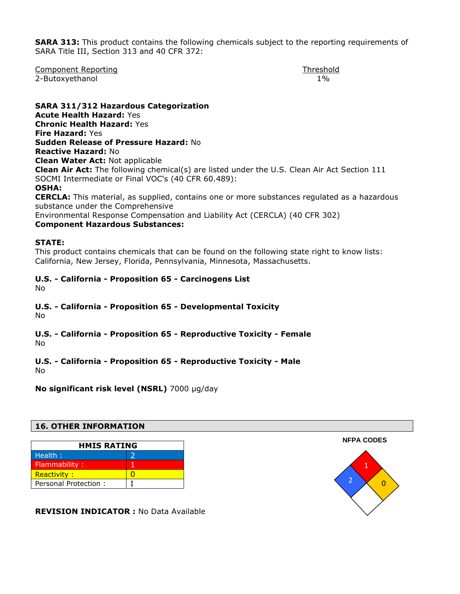**SARA 313:** This product contains the following chemicals subject to the reporting requirements of SARA Title III, Section 313 and 40 CFR 372:

Component Reporting Threshold Component Reporting Threshold 2-Butoxyethanol 1%

**SARA 311/312 Hazardous Categorization Acute Health Hazard:** Yes **Chronic Health Hazard:** Yes **Fire Hazard:** Yes **Sudden Release of Pressure Hazard:** No **Reactive Hazard:** No **Clean Water Act:** Not applicable **Clean Air Act:** The following chemical(s) are listed under the U.S. Clean Air Act Section 111 SOCMI Intermediate or Final VOC's (40 CFR 60.489): **OSHA: CERCLA:** This material, as supplied, contains one or more substances regulated as a hazardous substance under the Comprehensive Environmental Response Compensation and Liability Act (CERCLA) (40 CFR 302) **Component Hazardous Substances:** 

#### **STATE:**

This product contains chemicals that can be found on the following state right to know lists: California, New Jersey, Florida, Pennsylvania, Minnesota, Massachusetts.

# **U.S. - California - Proposition 65 - Carcinogens List**

No

## **U.S. - California - Proposition 65 - Developmental Toxicity**

No

#### **U.S. - California - Proposition 65 - Reproductive Toxicity - Female**  No

## **U.S. - California - Proposition 65 - Reproductive Toxicity - Male**

No

**No significant risk level (NSRL)** 7000 µg/day

### **16. OTHER INFORMATION**

| <b>HMIS RATING</b>   |  |  |
|----------------------|--|--|
| Health:              |  |  |
| Flammability:        |  |  |
| <b>Reactivity:</b>   |  |  |
| Personal Protection: |  |  |

**REVISION INDICATOR :** No Data Available

**NFPA CODES** 1 0 2